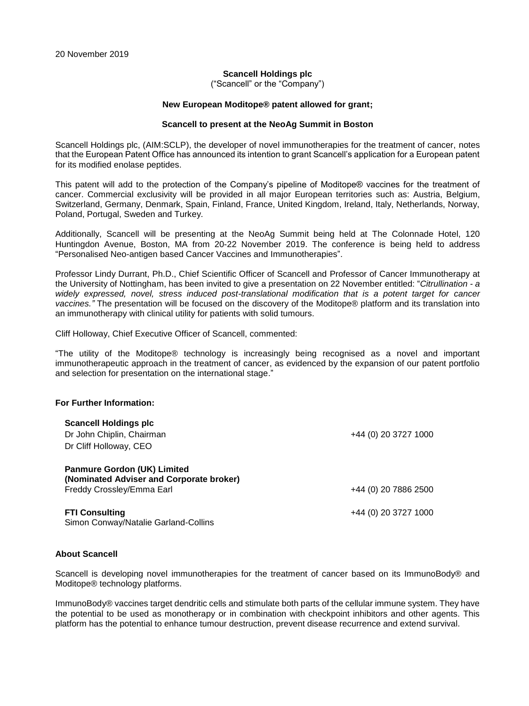### **Scancell Holdings plc**

("Scancell" or the "Company")

### **New European Moditope® patent allowed for grant;**

#### **Scancell to present at the NeoAg Summit in Boston**

Scancell Holdings plc, (AIM:SCLP), the developer of novel immunotherapies for the treatment of cancer, notes that the European Patent Office has announced its intention to grant Scancell's application for a European patent for its modified enolase peptides.

This patent will add to the protection of the Company's pipeline of Moditope® vaccines for the treatment of cancer. Commercial exclusivity will be provided in all major European territories such as: Austria, Belgium, Switzerland, Germany, Denmark, Spain, Finland, France, United Kingdom, Ireland, Italy, Netherlands, Norway, Poland, Portugal, Sweden and Turkey.

Additionally, Scancell will be presenting at the NeoAg Summit being held at The Colonnade Hotel, 120 Huntingdon Avenue, Boston, MA from 20-22 November 2019. The conference is being held to address "Personalised Neo-antigen based Cancer Vaccines and Immunotherapies".

Professor Lindy Durrant, Ph.D., Chief Scientific Officer of Scancell and Professor of Cancer Immunotherapy at the University of Nottingham, has been invited to give a presentation on 22 November entitled: "*Citrullination - a widely expressed, novel, stress induced post-translational modification that is a potent target for cancer vaccines."* The presentation will be focused on the discovery of the Moditope® platform and its translation into an immunotherapy with clinical utility for patients with solid tumours.

Cliff Holloway, Chief Executive Officer of Scancell, commented:

"The utility of the Moditope® technology is increasingly being recognised as a novel and important immunotherapeutic approach in the treatment of cancer, as evidenced by the expansion of our patent portfolio and selection for presentation on the international stage."

## **For Further Information:**

| Scancell Holdings plc<br>Dr John Chiplin, Chairman<br>Dr Cliff Holloway, CEO                                | +44 (0) 20 3727 1000 |
|-------------------------------------------------------------------------------------------------------------|----------------------|
| <b>Panmure Gordon (UK) Limited</b><br>(Nominated Adviser and Corporate broker)<br>Freddy Crossley/Emma Earl | +44 (0) 20 7886 2500 |
| <b>FTI Consulting</b><br>Simon Conway/Natalie Garland-Collins                                               | +44 (0) 20 3727 1000 |

# **About Scancell**

Scancell is developing novel immunotherapies for the treatment of cancer based on its ImmunoBody® and Moditope® technology platforms.

ImmunoBody® vaccines target dendritic cells and stimulate both parts of the cellular immune system. They have the potential to be used as monotherapy or in combination with checkpoint inhibitors and other agents. This platform has the potential to enhance tumour destruction, prevent disease recurrence and extend survival.